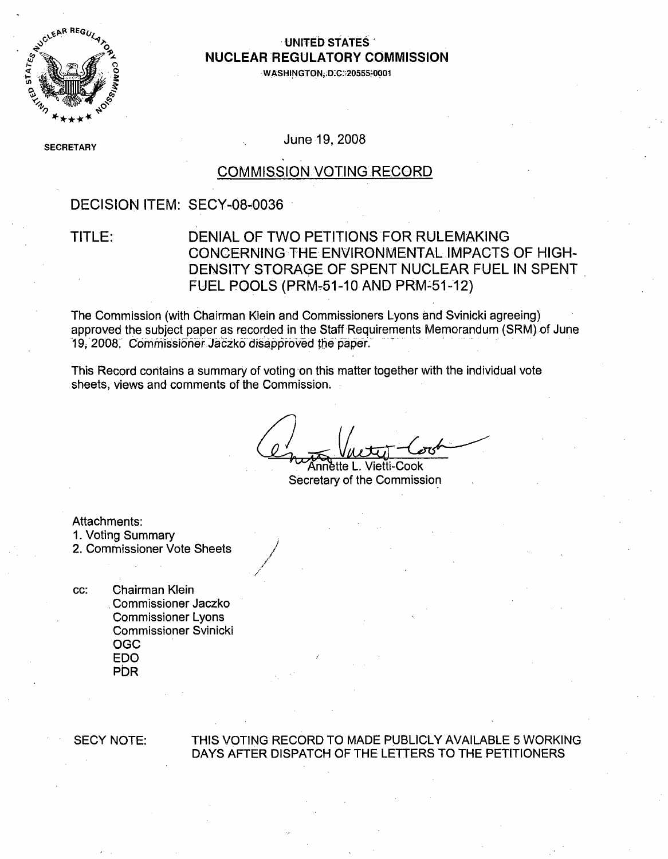

### **0, UNITED STATES'** *AUCLEAR REGULATORY COMMISSION*

**-WASHINGTON,;D.C:;20555-0001**

**SECRETARY** 

June 19, 2008

### COMMISSION VOTING RECORD

### DECISION ITEM: SECY-08-0036

### TITLE: DENIAL OF TWO PETITIONS FOR RULEMAKING CONCERNING THE ENVIRONMENTAL IMPACTS OF HIGH-DENSITY STORAGE OF SPENT NUCLEAR FUEL IN SPENT FUEL POOLS (PRM-51-10 AND PRM-51-12)

The Commission (with Chairman Klein and Commissioners Lyons and Svinicki agreeing) approved the subject paper as recorded in the Staff Requirements Memorandum (SRM) of June 19, 2008. Commissioner Jaczko disapproved the paper.

This Record contains a summary of voting on this matter together with the individual vote sheets, views and comments of the Commission.

/1

"Khnn 6tte L. Vietti-Cook Secretary of the Commission

Attachments:

1. Voting Summary

2. Commissioner Vote Sheets

cc: Chairman Klein Commissioner Jaczko Commissioner Lyons Commissioner Svinicki OGC EDO **PDR** 

#### SECY NOTE: THIS VOTING RECORD TO MADE PUBLICLY AVAILABLE 5 WORKING DAYS AFTER DISPATCH OF THE LETTERS TO THE PETITIONERS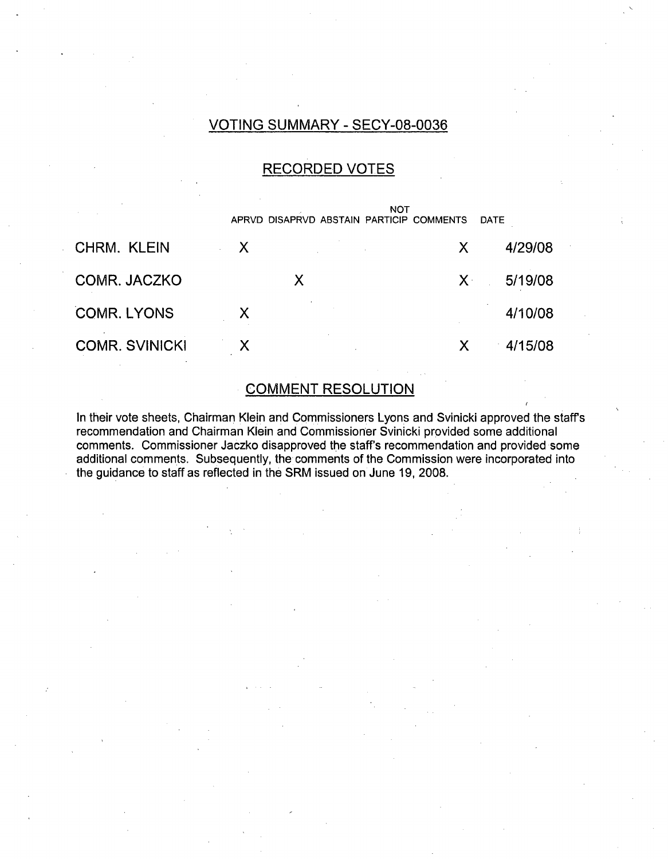### VOTING SUMMARY - SECY-08-0036

## RECORDED VOTES

|                       |                           | APRVD DISAPRVD ABSTAIN PARTICIP COMMENTS | <b>NOT</b> |             | DATE    |
|-----------------------|---------------------------|------------------------------------------|------------|-------------|---------|
| <b>CHRM. KLEIN</b>    | $\mathsf{X}$              |                                          |            | X           | 4/29/08 |
| COMR. JACZKO          |                           | X                                        |            | $X^{\perp}$ | 5/19/08 |
| <b>COMR. LYONS</b>    | $\boldsymbol{\mathsf{X}}$ |                                          |            |             | 4/10/08 |
| <b>COMR. SVINICKI</b> | X                         |                                          |            | Х           | 4/15/08 |

### COMMENT RESOLUTION

In their vote sheets, Chairman Klein and Commissioners Lyons and Svinicki approved the staffs recommendation and Chairman Klein and Commissioner Svinicki provided some additional comments. Commissioner Jaczko disapproved the staffs recommendation and provided some additional comments. Subsequently, the comments of the Commission were incorporated into the guidance to staff as reflected in the SRM issued on June 19, 2008.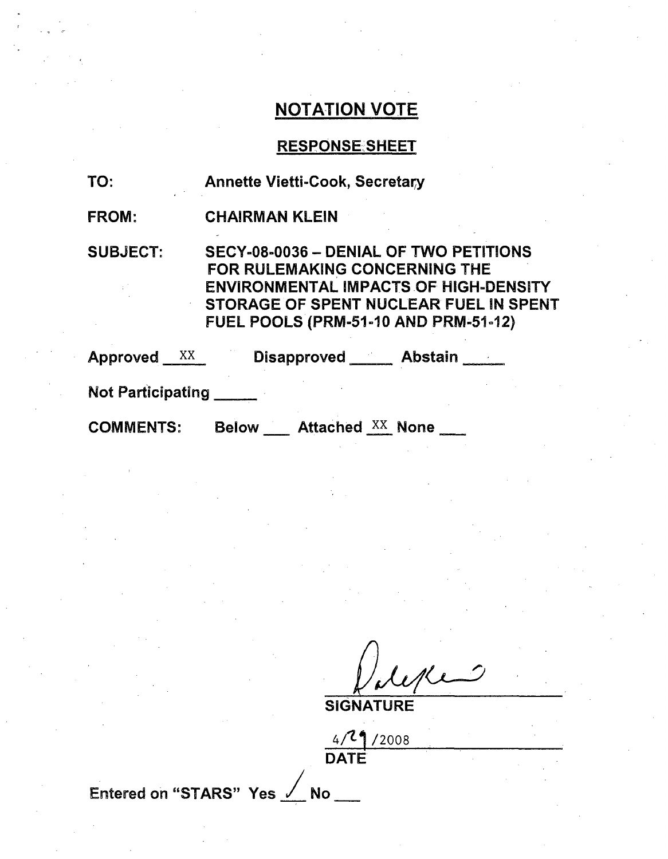## RESPONSESHEET

| TO:                      | <b>Annette Vietti-Cook, Secretary</b>                                                                                                                                                                                   |
|--------------------------|-------------------------------------------------------------------------------------------------------------------------------------------------------------------------------------------------------------------------|
| <b>FROM:</b>             | <b>CHAIRMAN KLEIN</b>                                                                                                                                                                                                   |
| <b>SUBJECT:</b>          | SECY-08-0036 - DENIAL OF TWO PETITIONS<br><b>FOR RULEMAKING CONCERNING THE</b><br><b>ENVIRONMENTAL IMPACTS OF HIGH-DENSITY</b><br>STORAGE OF SPENT NUCLEAR FUEL IN SPENT<br><b>FUEL POOLS (PRM-51-10 AND PRM-51-12)</b> |
| Approved XX              | Disapproved ______ Abstain _____                                                                                                                                                                                        |
| <b>Not Participating</b> |                                                                                                                                                                                                                         |
| <b>COMMENTS:</b>         | <b>Below</b> Attached XX None                                                                                                                                                                                           |

**SIGNATURE** 

 $4/29/200$ DATE

Entered on "STARS" Yes / No \_\_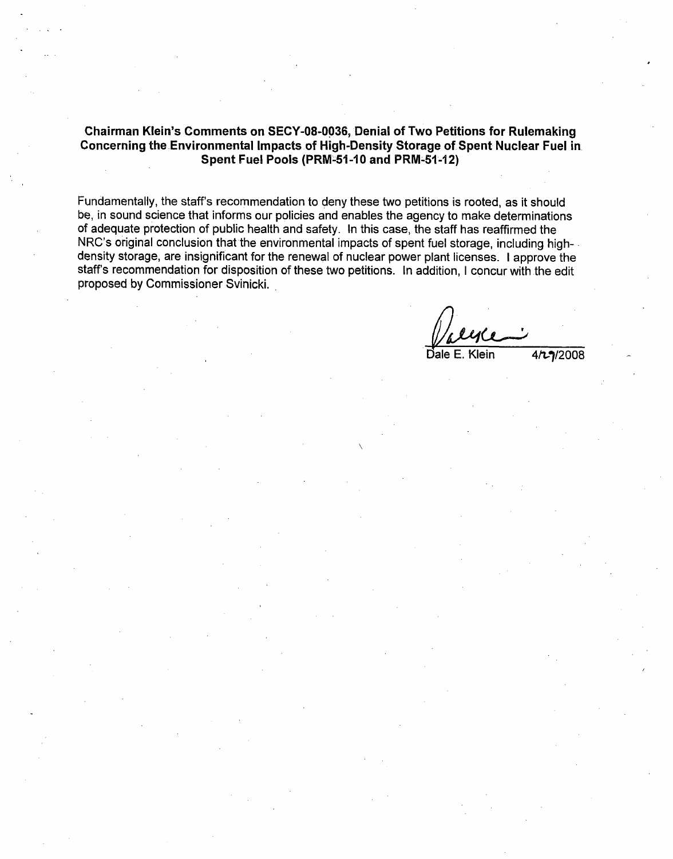#### Chairman Klein's Comments on **SECY-08-0036,** Denial of Two Petitions for Rulemaking Concerning the Environmental Impacts of High-Density Storage of Spent Nuclear Fuel in Spent Fuel Pools (PRM-51 **-10** and PRM-51 **-12)**

Fundamentally, the staff's recommendation to deny these two petitions is rooted, as it should be, in sound science that informs our policies and enables the agency to make determinations of adequate protection of public health and safety. In this case, the staff has reaffirmed the NRC's original conclusion that the environmental impacts of spent fuel storage, including highdensity storage, are insignificant for the renewal of nuclear power plant licenses. I approve the staff's recommendation for disposition of these two petitions. In addition, I concur with the edit proposed by Commissioner Svinicki.

 $\mathsf{D}$ ale E. Klein  $4/2008$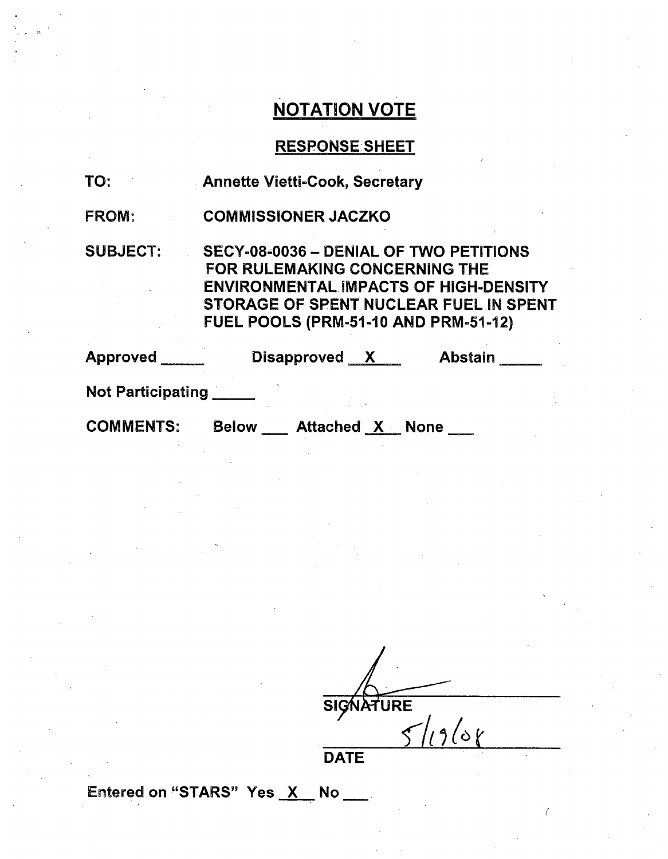# RESPONSE SHEET

| TO:               | <b>Annette Vietti-Cook, Secretary</b>                                                                                                                                                                                   |
|-------------------|-------------------------------------------------------------------------------------------------------------------------------------------------------------------------------------------------------------------------|
| <b>FROM:</b>      | <b>COMMISSIONER JACZKO</b>                                                                                                                                                                                              |
| <b>SUBJECT:</b>   | SECY-08-0036 - DENIAL OF TWO PETITIONS<br><b>FOR RULEMAKING CONCERNING THE</b><br><b>ENVIRONMENTAL IMPACTS OF HIGH-DENSITY</b><br>STORAGE OF SPENT NUCLEAR FUEL IN SPENT<br><b>FUEL POOLS (PRM-51-10 AND PRM-51-12)</b> |
| Approved          | Disapproved $X$<br><b>Abstain</b>                                                                                                                                                                                       |
| Not Participating |                                                                                                                                                                                                                         |
| <b>COMMENTS:</b>  | <b>Below</b><br><b>Attached X None</b>                                                                                                                                                                                  |

 $\frac{1}{\sqrt{12}}$ 

**DATE** 

Entered on "STARS" Yes X No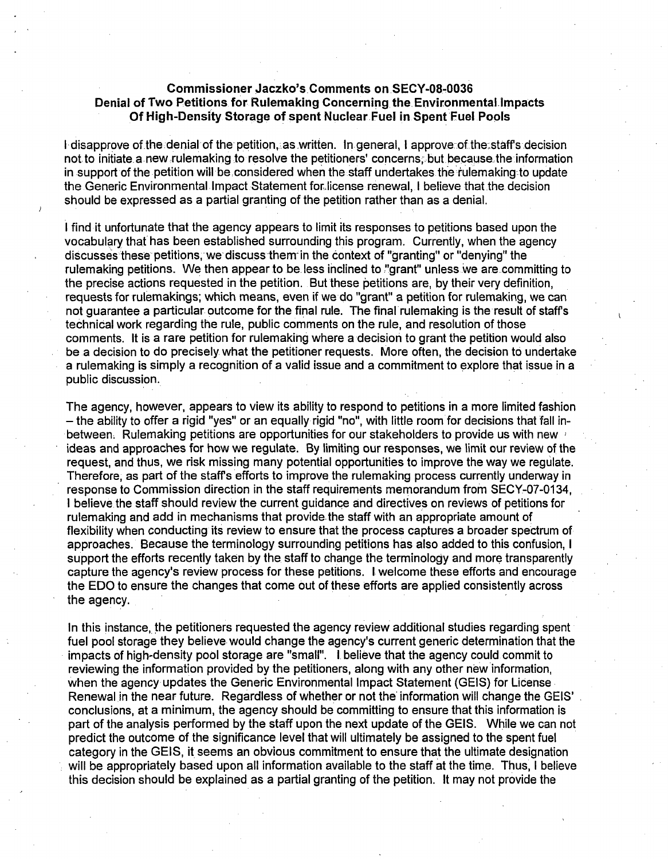#### Commissioner Jaczko's. Comments on.SECY-08-0036 Denial of Two Petitions for Rulemaking Concerning the Environmental Impacts Of High-Density Storage of spent Nuclear. Fuel in Spent Fuel Pools

I disapprove of the denial of the petition, as written. In general, I approve of the staff's decision not to initiate. a new rulemaking to resolve the petitioners' concerns; but because, the information in support of the petition will be considered when the staff undertakes the rulemaking to update the Generic Environmental Impact Statement forlicense renewal, I believe that the decision should be expressed as a partial granting of the petition rather than as a denial.

I find it unfortunate that the agency appears to limit its responses to petitions based upon the vocabulary that has been established surrounding this program. Currently, when the agency discusses these- petitions, we discuss them-in the context of "granting" or "denying" the rulemaking petitions. We then appear to be less inclined to "grant" unless we are committing to the precise actions requested in the petition. But these petitions are, by their very definition, requests for rulemakings; which means, even if we do "grant" a petition for rulemaking, we can not guarantee a particular. outcome for the final rule. The final rulemaking is the result of staffs technical work regarding the rule, public comments on the rule, and resolution of those comments. It is a rare petition for rulemaking where a decision to grant the petition would also be a decision to do precisely what the petitioner requests. More often, the decision to undertake a rulemaking is simply a recognition of a valid issue and a commitment to explore that issue in a public discussion.

The agency, however, appears to view its ability to respond to petitions in a more limited fashion - the ability to offer a rigid "yes" or an equally rigid "no", with little room for decisions that fall inbetween, Rulemaking petitions are opportunities for our stakeholders to provide us with new **,** ideas and approaches for how we regulate. By limiting our responses, we limit our review of the request, and thus, we risk missing many potential opportunities to improve the way we regulate. Therefore, as part of the staff's efforts to improve the rulemaking process currently underway in response to Commission direction in the staff requirements memorandum from SECY-07-0134, I believe the staff should review the current guidance and directives on reviews of petitions for rulemaking and add in mechanisms that provide the staff with an appropriate amount of flexibility when conducting its review to ensure that the process captures a broader spectrum of approaches. Because the terminology surrounding petitions has also added to this confusion, I support the efforts recently taken by the staff to change the terminology and more transparently capture the agency's review process for these petitions. I welcome these efforts and encourage the EDO to ensure the changes that come out of these efforts are applied consistently across the agency.

In this instance, the petitioners requested the agency review additional studies regarding spent fuel pool storage they believe would change the agency's current generic determination that the impacts of high-density pool storage are "small". I believe that the agency could commit to reviewing the information provided by the petitioners, along with any other new information, when the agency updates the Generic Environmental Impact Statement (GELS) for License Renewal in the near future. Regardless of whether or not the' information will change the GELS' conclusions, at a minimum, the agency should be committing to ensure that this information is part of the analysis performed by the staff upon the next update of the GEIS. While we can not predict the outcome of the significance level that will ultimately be assigned to the spent fuel category in the GELS, it seems an obvious commitment to ensure that the ultimate designation will be appropriately based upon all information available to the staff at the time. Thus, I believe this decision should be explained as a partial granting of the petition. It may not provide the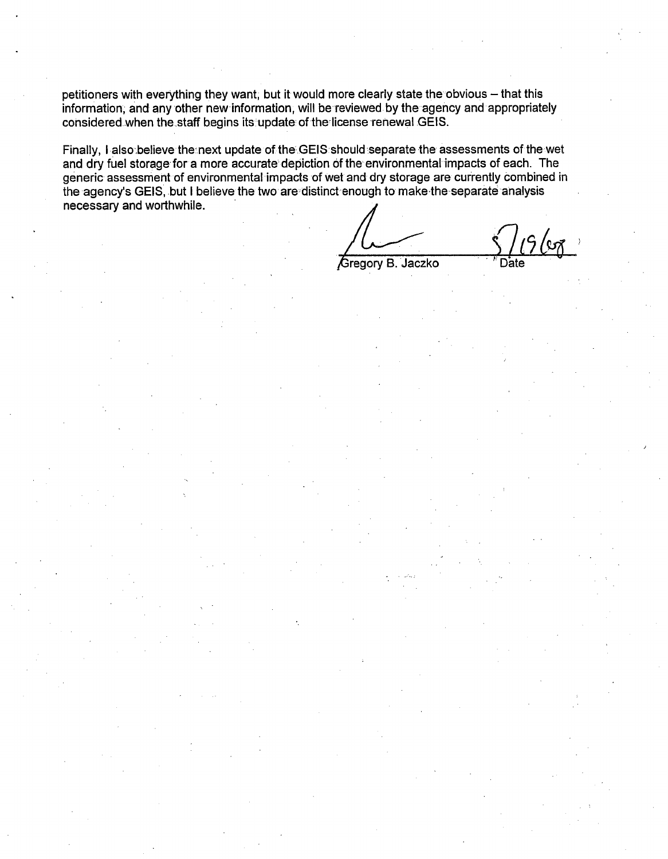petitioners with everything they want, but it would more clearly state the obvious - that this information, and any other new information, will be reviewed by the agency and appropriately considered when the staff begins its update of the license renewal GEIS.

Finally, I also believe the next update of the GEIS should separate the assessments of the wet and dry fuel storage for a more accurate depiction of the environmental impacts of each. The generic assessment of environmental impacts of wet and dry storage are currently combined in the agency's GELS, but I believe the two are distinct enough to make-the separate analysis necessary and worthwhile.

Gregory B. Jaczko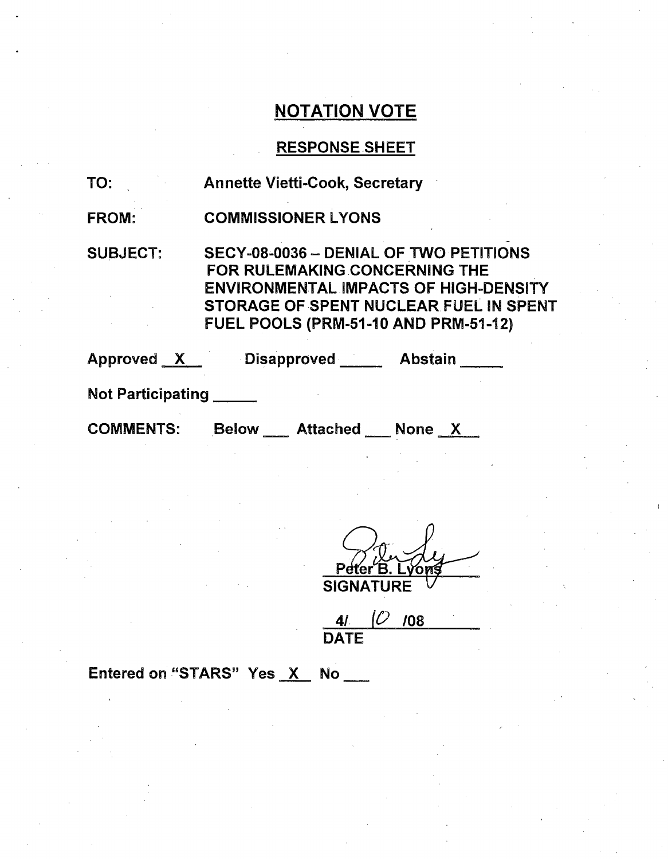# RESPONSE SHEET

| TO:                      | <b>Annette Vietti-Cook, Secretary</b>                                                                                                                                         |                                        |
|--------------------------|-------------------------------------------------------------------------------------------------------------------------------------------------------------------------------|----------------------------------------|
| <b>FROM:</b>             | <b>COMMISSIONER LYONS</b>                                                                                                                                                     |                                        |
| <b>SUBJECT:</b>          | SECY-08-0036 - DENIAL OF TWO PETITIONS<br><b>FOR RULEMAKING CONCERNING THE</b><br><b>ENVIRONMENTAL IMPACTS OF HIGH-DENSITY</b><br><b>FUEL POOLS (PRM-51-10 AND PRM-51-12)</b> | STORAGE OF SPENT NUCLEAR FUEL IN SPENT |
|                          | Approved X Disapproved                                                                                                                                                        | <b>Abstain</b>                         |
| <b>Not Participating</b> |                                                                                                                                                                               |                                        |
| <b>COMMENTS:</b>         | Below Attached None X                                                                                                                                                         |                                        |

on. **SIGNATURE** 

<u>41</u> DATE <u>|U |08</u>

Entered on "STARS" Yes X No